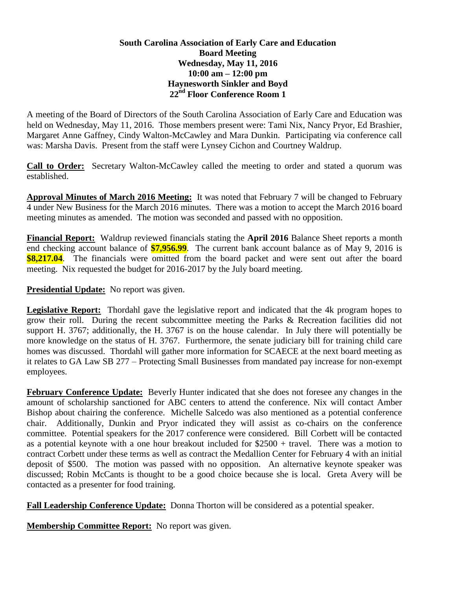## **South Carolina Association of Early Care and Education Board Meeting Wednesday, May 11, 2016 10:00 am – 12:00 pm Haynesworth Sinkler and Boyd 22nd Floor Conference Room 1**

A meeting of the Board of Directors of the South Carolina Association of Early Care and Education was held on Wednesday, May 11, 2016. Those members present were: Tami Nix, Nancy Pryor, Ed Brashier, Margaret Anne Gaffney, Cindy Walton-McCawley and Mara Dunkin. Participating via conference call was: Marsha Davis. Present from the staff were Lynsey Cichon and Courtney Waldrup.

**Call to Order:** Secretary Walton-McCawley called the meeting to order and stated a quorum was established.

**Approval Minutes of March 2016 Meeting:** It was noted that February 7 will be changed to February 4 under New Business for the March 2016 minutes. There was a motion to accept the March 2016 board meeting minutes as amended. The motion was seconded and passed with no opposition.

**Financial Report:** Waldrup reviewed financials stating the **April 2016** Balance Sheet reports a month end checking account balance of **\$7,956.99**. The current bank account balance as of May 9, 2016 is **\$8,217.04**. The financials were omitted from the board packet and were sent out after the board meeting. Nix requested the budget for 2016-2017 by the July board meeting.

**Presidential Update:** No report was given.

**Legislative Report:** Thordahl gave the legislative report and indicated that the 4k program hopes to grow their roll. During the recent subcommittee meeting the Parks & Recreation facilities did not support H. 3767; additionally, the H. 3767 is on the house calendar. In July there will potentially be more knowledge on the status of H. 3767. Furthermore, the senate judiciary bill for training child care homes was discussed. Thordahl will gather more information for SCAECE at the next board meeting as it relates to GA Law SB 277 – Protecting Small Businesses from mandated pay increase for non-exempt employees.

**February Conference Update:** Beverly Hunter indicated that she does not foresee any changes in the amount of scholarship sanctioned for ABC centers to attend the conference. Nix will contact Amber Bishop about chairing the conference. Michelle Salcedo was also mentioned as a potential conference chair. Additionally, Dunkin and Pryor indicated they will assist as co-chairs on the conference committee. Potential speakers for the 2017 conference were considered. Bill Corbett will be contacted as a potential keynote with a one hour breakout included for  $$2500 + travel$ . There was a motion to contract Corbett under these terms as well as contract the Medallion Center for February 4 with an initial deposit of \$500. The motion was passed with no opposition. An alternative keynote speaker was discussed; Robin McCants is thought to be a good choice because she is local. Greta Avery will be contacted as a presenter for food training.

**Fall Leadership Conference Update:** Donna Thorton will be considered as a potential speaker.

**Membership Committee Report:** No report was given.